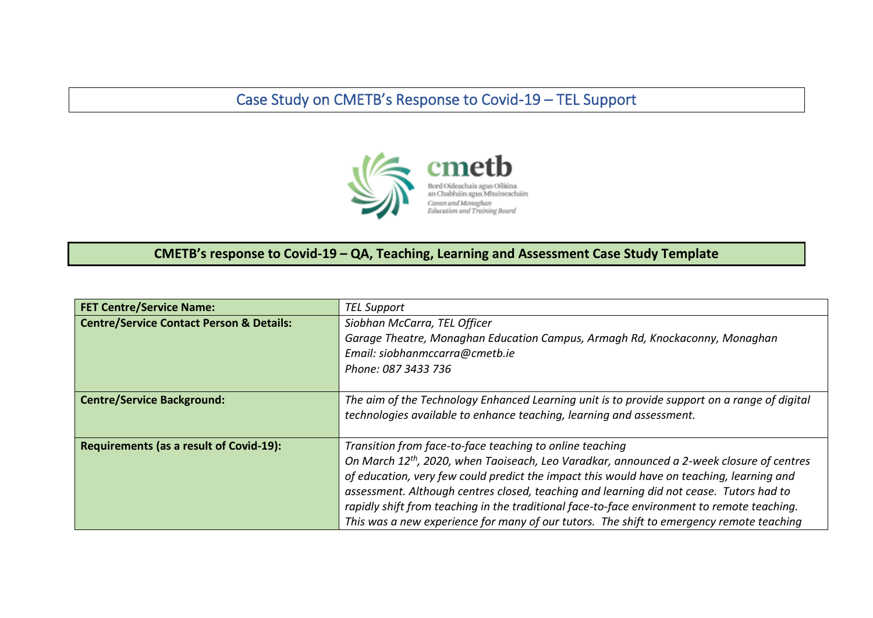## Case Study on CMETB's Response to Covid-19 – TEL Support



## **CMETB's response to Covid-19 – QA, Teaching, Learning and Assessment Case Study Template**

| <b>FET Centre/Service Name:</b>                     | <b>TEL Support</b>                                                                                    |
|-----------------------------------------------------|-------------------------------------------------------------------------------------------------------|
| <b>Centre/Service Contact Person &amp; Details:</b> | Siobhan McCarra, TEL Officer                                                                          |
|                                                     | Garage Theatre, Monaghan Education Campus, Armagh Rd, Knockaconny, Monaghan                           |
|                                                     | Email: siobhanmccarra@cmetb.ie                                                                        |
|                                                     | Phone: 087 3433 736                                                                                   |
|                                                     |                                                                                                       |
| <b>Centre/Service Background:</b>                   | The aim of the Technology Enhanced Learning unit is to provide support on a range of digital          |
|                                                     | technologies available to enhance teaching, learning and assessment.                                  |
|                                                     |                                                                                                       |
| <b>Requirements (as a result of Covid-19):</b>      | Transition from face-to-face teaching to online teaching                                              |
|                                                     | On March 12 <sup>th</sup> , 2020, when Taoiseach, Leo Varadkar, announced a 2-week closure of centres |
|                                                     | of education, very few could predict the impact this would have on teaching, learning and             |
|                                                     | assessment. Although centres closed, teaching and learning did not cease. Tutors had to               |
|                                                     | rapidly shift from teaching in the traditional face-to-face environment to remote teaching.           |
|                                                     | This was a new experience for many of our tutors. The shift to emergency remote teaching              |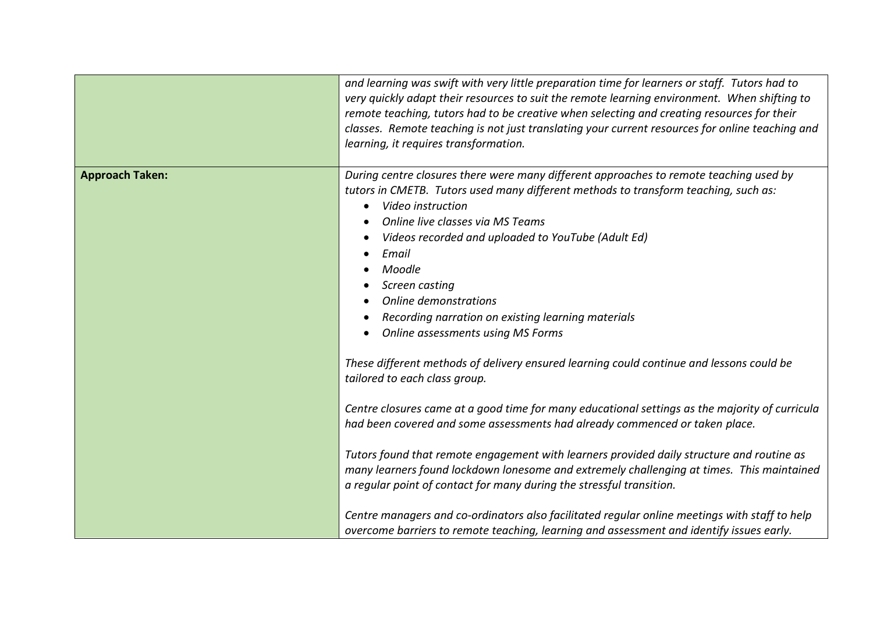|                        | and learning was swift with very little preparation time for learners or staff. Tutors had to<br>very quickly adapt their resources to suit the remote learning environment. When shifting to<br>remote teaching, tutors had to be creative when selecting and creating resources for their<br>classes. Remote teaching is not just translating your current resources for online teaching and<br>learning, it requires transformation.                                                                                                                                                                                                                                                                                                                                                                                                                                                                                                                                                                                                                                                                                                |
|------------------------|----------------------------------------------------------------------------------------------------------------------------------------------------------------------------------------------------------------------------------------------------------------------------------------------------------------------------------------------------------------------------------------------------------------------------------------------------------------------------------------------------------------------------------------------------------------------------------------------------------------------------------------------------------------------------------------------------------------------------------------------------------------------------------------------------------------------------------------------------------------------------------------------------------------------------------------------------------------------------------------------------------------------------------------------------------------------------------------------------------------------------------------|
| <b>Approach Taken:</b> | During centre closures there were many different approaches to remote teaching used by<br>tutors in CMETB. Tutors used many different methods to transform teaching, such as:<br>Video instruction<br>Online live classes via MS Teams<br>Videos recorded and uploaded to YouTube (Adult Ed)<br>Email<br>Moodle<br>Screen casting<br>Online demonstrations<br>Recording narration on existing learning materials<br>Online assessments using MS Forms<br>These different methods of delivery ensured learning could continue and lessons could be<br>tailored to each class group.<br>Centre closures came at a good time for many educational settings as the majority of curricula<br>had been covered and some assessments had already commenced or taken place.<br>Tutors found that remote engagement with learners provided daily structure and routine as<br>many learners found lockdown lonesome and extremely challenging at times. This maintained<br>a regular point of contact for many during the stressful transition.<br>Centre managers and co-ordinators also facilitated regular online meetings with staff to help |
|                        | overcome barriers to remote teaching, learning and assessment and identify issues early.                                                                                                                                                                                                                                                                                                                                                                                                                                                                                                                                                                                                                                                                                                                                                                                                                                                                                                                                                                                                                                               |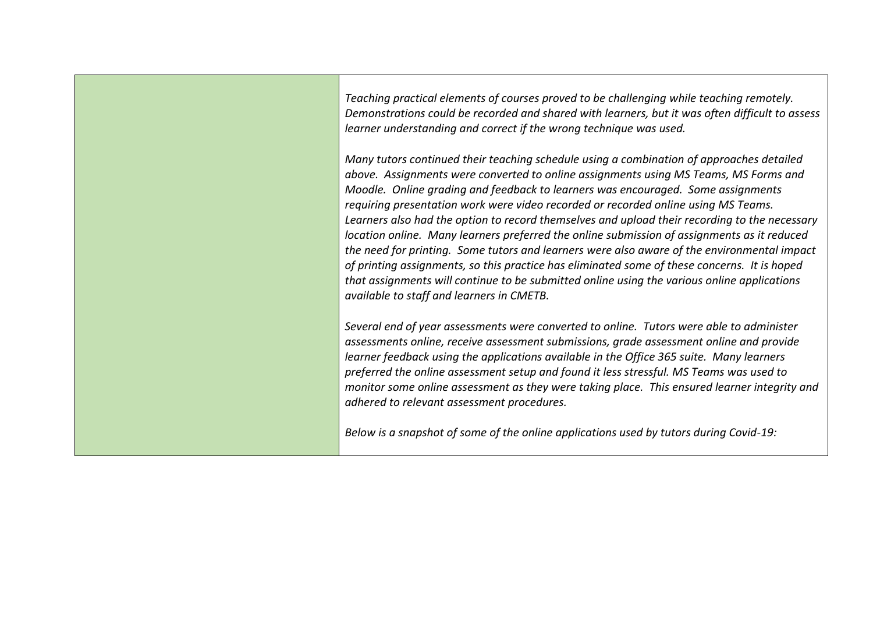*Teaching practical elements of courses proved to be challenging while teaching remotely. Demonstrations could be recorded and shared with learners, but it was often difficult to assess learner understanding and correct if the wrong technique was used.*

*Many tutors continued their teaching schedule using a combination of approaches detailed above. Assignments were converted to online assignments using MS Teams, MS Forms and Moodle. Online grading and feedback to learners was encouraged. Some assignments requiring presentation work were video recorded or recorded online using MS Teams. Learners also had the option to record themselves and upload their recording to the necessary location online. Many learners preferred the online submission of assignments as it reduced the need for printing. Some tutors and learners were also aware of the environmental impact of printing assignments, so this practice has eliminated some of these concerns. It is hoped that assignments will continue to be submitted online using the various online applications available to staff and learners in CMETB.*

*Several end of year assessments were converted to online. Tutors were able to administer assessments online, receive assessment submissions, grade assessment online and provide learner feedback using the applications available in the Office 365 suite. Many learners preferred the online assessment setup and found it less stressful. MS Teams was used to monitor some online assessment as they were taking place. This ensured learner integrity and adhered to relevant assessment procedures.*

*Below is a snapshot of some of the online applications used by tutors during Covid-19:*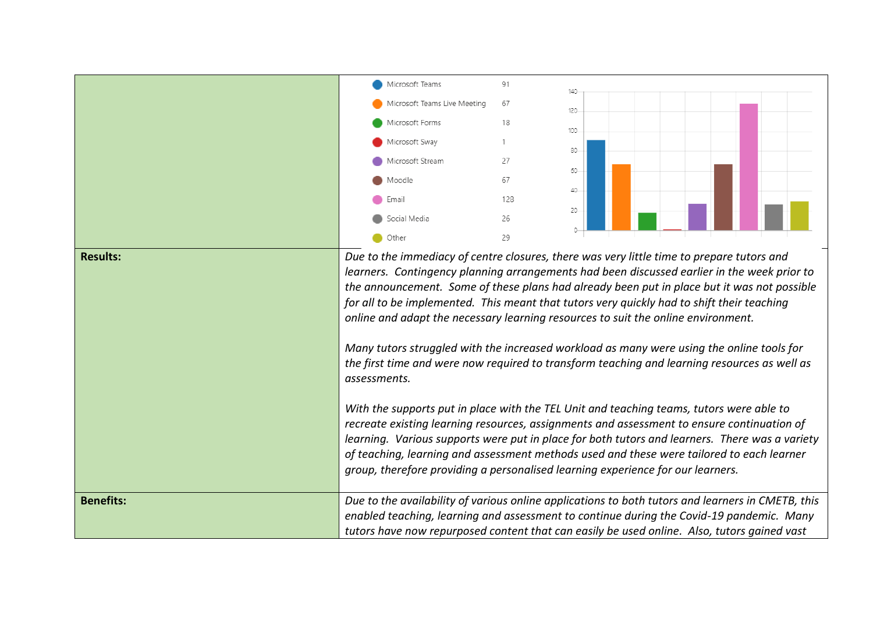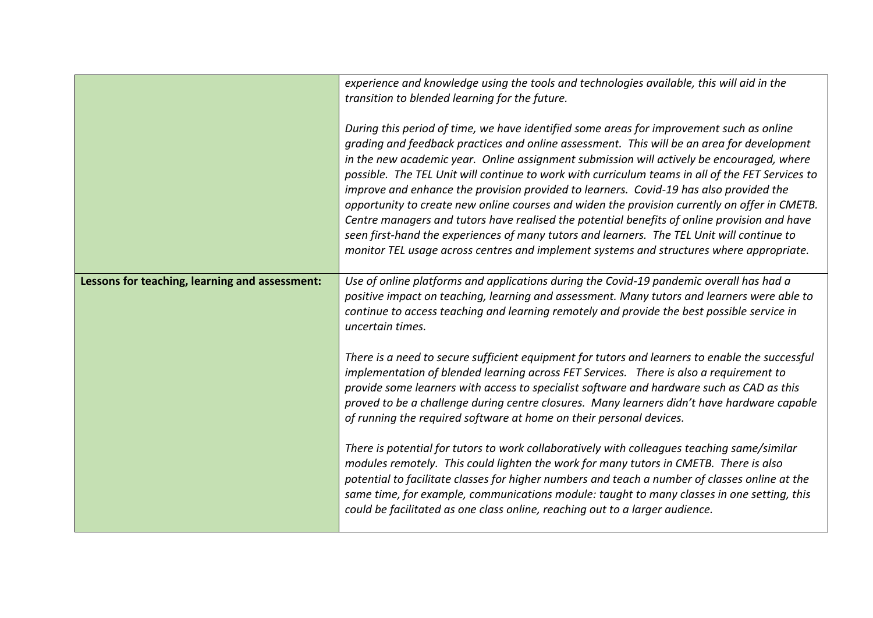|                                                | experience and knowledge using the tools and technologies available, this will aid in the<br>transition to blended learning for the future.<br>During this period of time, we have identified some areas for improvement such as online<br>grading and feedback practices and online assessment. This will be an area for development<br>in the new academic year. Online assignment submission will actively be encouraged, where<br>possible. The TEL Unit will continue to work with curriculum teams in all of the FET Services to<br>improve and enhance the provision provided to learners. Covid-19 has also provided the<br>opportunity to create new online courses and widen the provision currently on offer in CMETB.<br>Centre managers and tutors have realised the potential benefits of online provision and have<br>seen first-hand the experiences of many tutors and learners. The TEL Unit will continue to<br>monitor TEL usage across centres and implement systems and structures where appropriate. |
|------------------------------------------------|-----------------------------------------------------------------------------------------------------------------------------------------------------------------------------------------------------------------------------------------------------------------------------------------------------------------------------------------------------------------------------------------------------------------------------------------------------------------------------------------------------------------------------------------------------------------------------------------------------------------------------------------------------------------------------------------------------------------------------------------------------------------------------------------------------------------------------------------------------------------------------------------------------------------------------------------------------------------------------------------------------------------------------|
| Lessons for teaching, learning and assessment: | Use of online platforms and applications during the Covid-19 pandemic overall has had a<br>positive impact on teaching, learning and assessment. Many tutors and learners were able to<br>continue to access teaching and learning remotely and provide the best possible service in<br>uncertain times.                                                                                                                                                                                                                                                                                                                                                                                                                                                                                                                                                                                                                                                                                                                    |
|                                                | There is a need to secure sufficient equipment for tutors and learners to enable the successful<br>implementation of blended learning across FET Services. There is also a requirement to<br>provide some learners with access to specialist software and hardware such as CAD as this<br>proved to be a challenge during centre closures. Many learners didn't have hardware capable<br>of running the required software at home on their personal devices.                                                                                                                                                                                                                                                                                                                                                                                                                                                                                                                                                                |
|                                                | There is potential for tutors to work collaboratively with colleagues teaching same/similar<br>modules remotely. This could lighten the work for many tutors in CMETB. There is also<br>potential to facilitate classes for higher numbers and teach a number of classes online at the<br>same time, for example, communications module: taught to many classes in one setting, this<br>could be facilitated as one class online, reaching out to a larger audience.                                                                                                                                                                                                                                                                                                                                                                                                                                                                                                                                                        |